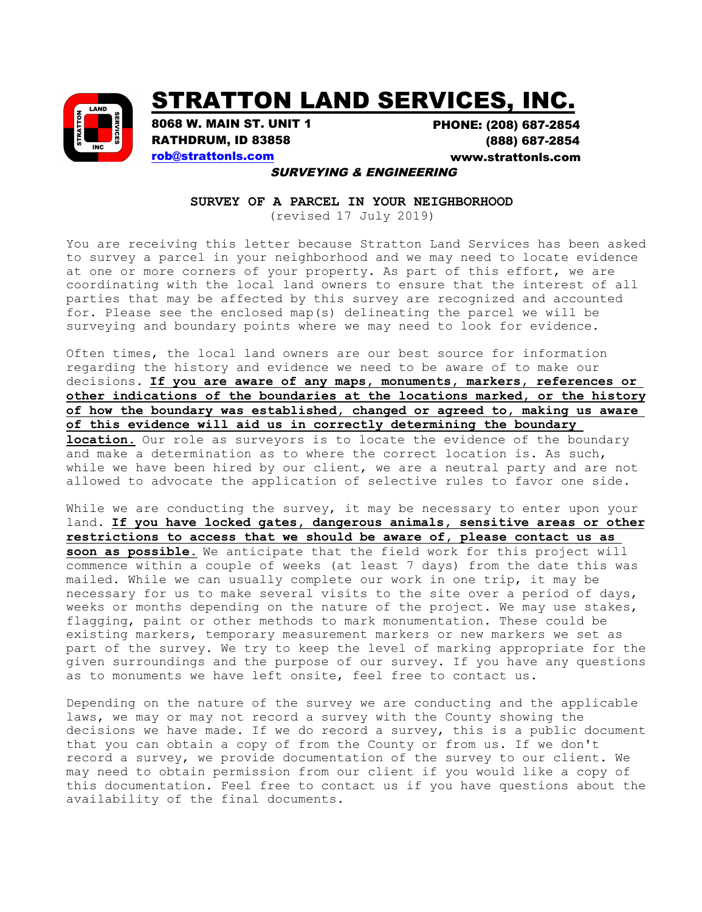

## STRATTON LAND SERVICES, INC.

8068 W. MAIN ST. UNIT 1 RATHDRUM, ID 83858 rob@strattonls.com

PHONE: (208) 687-2854 (888) 687-2854 <www.strattonls.com>

## SURVEYING & ENGINEERING

**SURVEY OF A PARCEL IN YOUR NEIGHBORHOOD**

(revised 17 July 2019)

You are receiving this letter because Stratton Land Services has been asked to survey a parcel in your neighborhood and we may need to locate evidence at one or more corners of your property. As part of this effort, we are coordinating with the local land owners to ensure that the interest of all parties that may be affected by this survey are recognized and accounted for. Please see the enclosed map(s) delineating the parcel we will be surveying and boundary points where we may need to look for evidence.

Often times, the local land owners are our best source for information regarding the history and evidence we need to be aware of to make our decisions. **If you are aware of any maps, monuments, markers, references or other indications of the boundaries at the locations marked, or the history of how the boundary was established, changed or agreed to, making us aware of this evidence will aid us in correctly determining the boundary location.** Our role as surveyors is to locate the evidence of the boundary and make a determination as to where the correct location is. As such, while we have been hired by our client, we are a neutral party and are not allowed to advocate the application of selective rules to favor one side.

While we are conducting the survey, it may be necessary to enter upon your land. **If you have locked gates, dangerous animals, sensitive areas or other restrictions to access that we should be aware of, please contact us as soon as possible.** We anticipate that the field work for this project will commence within a couple of weeks (at least 7 days) from the date this was mailed. While we can usually complete our work in one trip, it may be necessary for us to make several visits to the site over a period of days, weeks or months depending on the nature of the project. We may use stakes, flagging, paint or other methods to mark monumentation. These could be existing markers, temporary measurement markers or new markers we set as part of the survey. We try to keep the level of marking appropriate for the given surroundings and the purpose of our survey. If you have any questions as to monuments we have left onsite, feel free to contact us.

Depending on the nature of the survey we are conducting and the applicable laws, we may or may not record a survey with the County showing the decisions we have made. If we do record a survey, this is a public document that you can obtain a copy of from the County or from us. If we don't record a survey, we provide documentation of the survey to our client. We may need to obtain permission from our client if you would like a copy of this documentation. Feel free to contact us if you have questions about the availability of the final documents.